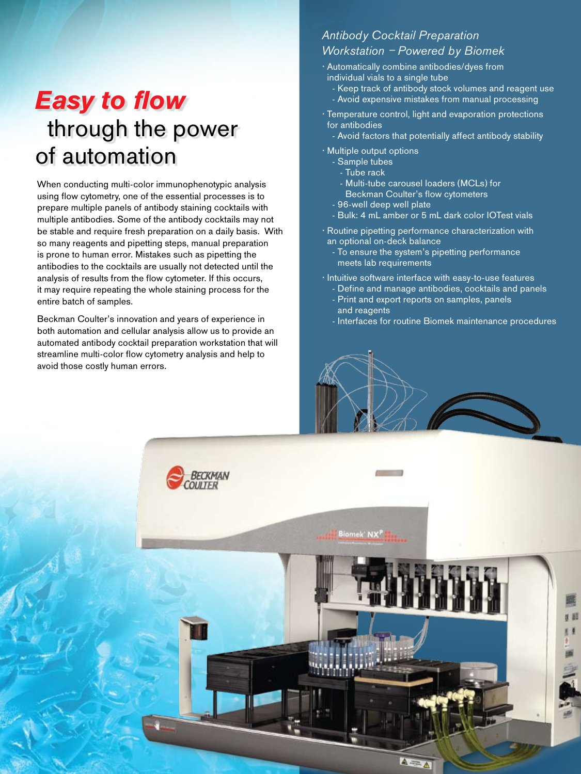## *Easy to flow*  through the power of automation

When conducting multi-color immunophenotypic analysis using flow cytometry, one of the essential processes is to prepare multiple panels of antibody staining cocktails with multiple antibodies. Some of the antibody cocktails may not be stable and require fresh preparation on a daily basis. With so many reagents and pipetting steps, manual preparation is prone to human error. Mistakes such as pipetting the antibodies to the cocktails are usually not detected until the analysis of results from the flow cytometer. If this occurs, it may require repeating the whole staining process for the entire batch of samples.

Beckman Coulter's innovation and years of experience in both automation and cellular analysis allow us to provide an automated antibody cocktail preparation workstation that will streamline multi-color flow cytometry analysis and help to avoid those costly human errors.

#### Antibody Cocktail Preparation Workstation – Powered by Biomek

- Automatically combine antibodies/dyes from individual vials to a single tube
	- Keep track of antibody stock volumes and reagent use
	- Avoid expensive mistakes from manual processing
- Temperature control, light and evaporation protections for antibodies
	- Avoid factors that potentially affect antibody stability
- Multiple output options
	- Sample tubes
	- Tube rack
	- Multi-tube carousel loaders (MCLs) for
	- Beckman Coulter's flow cytometers
	- 96-well deep well plate
	- Bulk: 4 mL amber or 5 mL dark color IOTest vials
- Routine pipetting performance characterization with an optional on-deck balance
	- To ensure the system's pipetting performance meets lab requirements
- Intuitive software interface with easy-to-use features
	- Define and manage antibodies, cocktails and panels - Print and export reports on samples, panels
	- and reagents
	- Interfaces for routine Biomek maintenance procedures

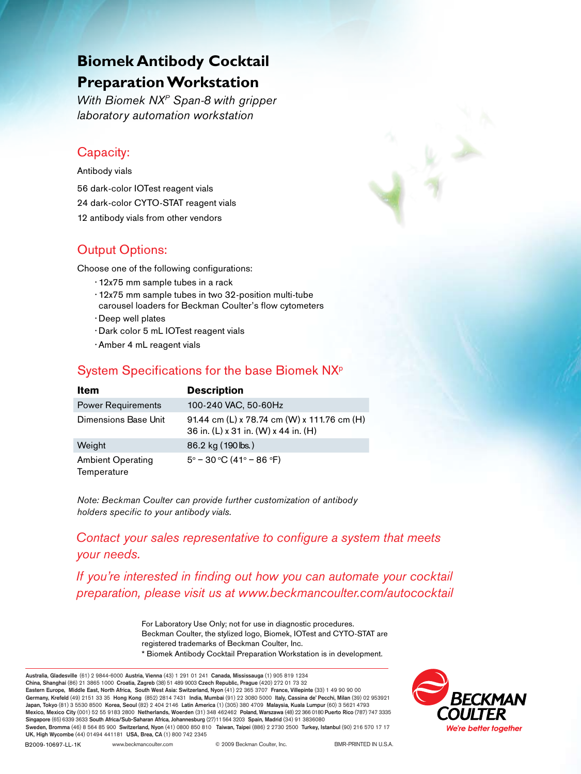### **Biomek Antibody Cocktail Preparation Workstation**

With Biomek NX<sup>P</sup> Span-8 with gripper laboratory automation workstation

#### Capacity:

Antibody vials 56 dark-color IOTest reagent vials 24 dark-color CYTO-STAT reagent vials 12 antibody vials from other vendors

### Output Options:

Choose one of the following configurations:

- 12x75 mm sample tubes in a rack
- 12x75 mm sample tubes in two 32-position multi-tube carousel loaders for Beckman Coulter's flow cytometers
- •Deep well plates
- •Dark color 5 mL IOTest reagent vials
- •Amber 4 mL reagent vials

### System Specifications for the base Biomek NXP

| Item                                    | <b>Description</b>                                                                  |
|-----------------------------------------|-------------------------------------------------------------------------------------|
| <b>Power Requirements</b>               | 100-240 VAC, 50-60Hz                                                                |
| Dimensions Base Unit                    | 91.44 cm (L) x 78.74 cm (W) x 111.76 cm (H)<br>36 in. (L) x 31 in. (W) x 44 in. (H) |
| Weight                                  | 86.2 kg (190 lbs.)                                                                  |
| <b>Ambient Operating</b><br>Temperature | $5^{\circ}$ – 30 °C (41° – 86 °F)                                                   |

Note: Beckman Coulter can provide further customization of antibody holders specific to your antibody vials.

### Contact your sales representative to configure a system that meets your needs.

If you're interested in finding out how you can automate your cocktail **depending on products** preparation, please visit us at www.beckmancoulter.com/autococktail

> For Laboratory Use Only; not for use in diagnostic procedures. Beckman Coulter, the stylized logo, Biomek, IOTest and CYTO-STAT are registered trademarks of Beckman Coulter, Inc. \* Biomek Antibody Cocktail Preparation Workstation is in development.





B2009-10697-LL-1K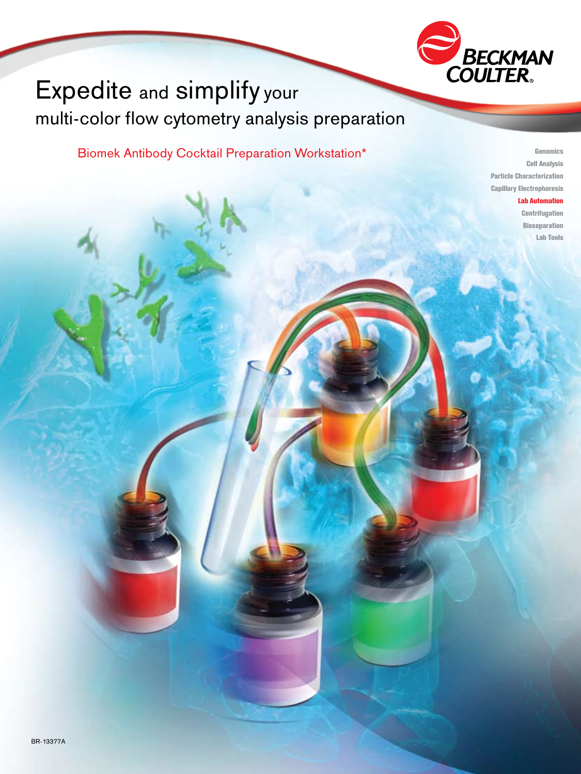

### Expedite and simplify your multi-color flow cytometry analysis preparation

Biomek Antibody Cocktail Preparation Workstation\*

Genomics Cell Analysis Particle Characterization Capillary Electrophoresis

Lab Automation

**Centrifugation** Bioseparation Lab Tools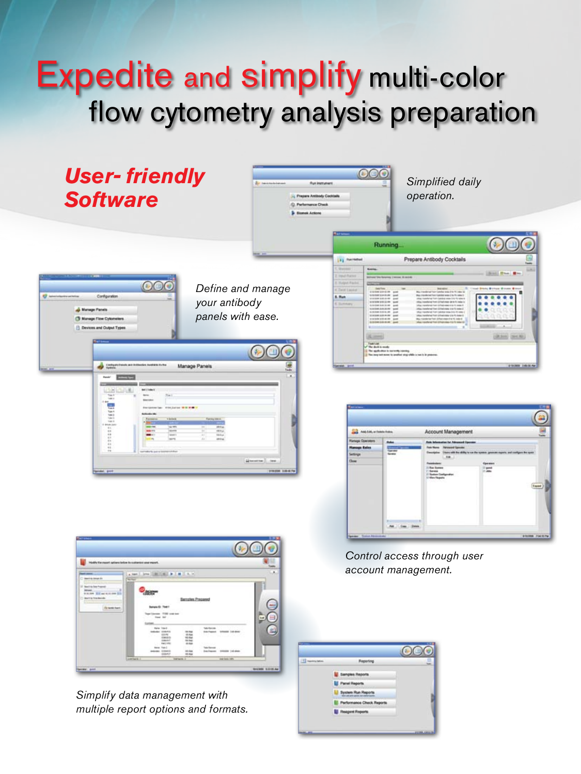# Expedite and simplify multi-color flow cytometry analysis preparation



Simplify data management with multiple report options and formats.

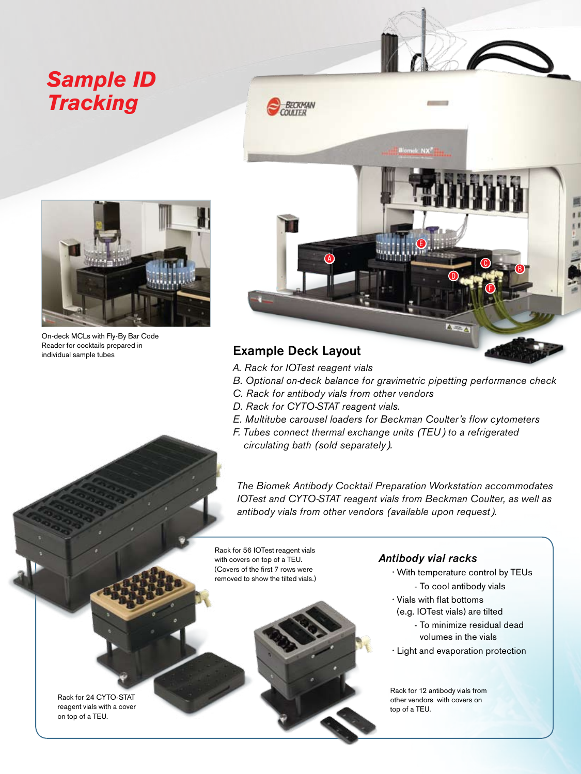### *Sample ID Tracking*



On-deck MCLs with Fly-By Bar Code Reader for cocktails prepared in individual sample tubes



### Example Deck Layout

- A. Rack for IOTest reagent vials
- B. Optional on-deck balance for gravimetric pipetting performance check
- C. Rack for antibody vials from other vendors
- D. Rack for CYTO-STAT reagent vials.
- E. Multitube carousel loaders for Beckman Coulter's flow cytometers
- F. Tubes connect thermal exchange units (TEU) to a refrigerated circulating bath (sold separately).

The Biomek Antibody Cocktail Preparation Workstation accommodates IOTest and CYTO-STAT reagent vials from Beckman Coulter, as well as antibody vials from other vendors (available upon request).

Rack for 56 IOTest reagent vials with covers on top of a TEU. (Covers of the first 7 rows were removed to show the tilted vials.)



#### Antibody vial racks

- With temperature control by TEUs
	- To cool antibody vials
- Vials with flat bottoms
- (e.g. IOTest vials) are tilted
	- To minimize residual dead volumes in the vials
- Light and evaporation protection

Rack for 12 antibody vials from other vendors with covers on top of a TEU.

Rack for 24 CYTO-STAT reagent vials with a cover on top of a TEU.